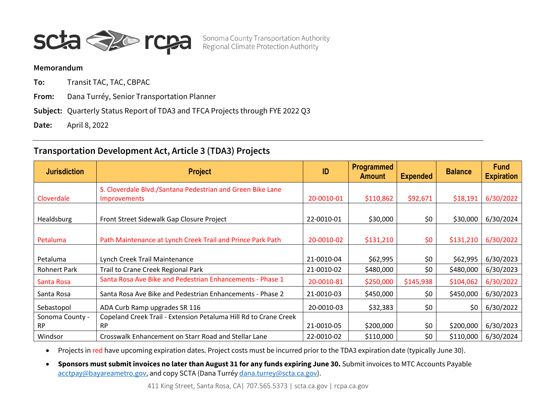

Sonoma County Transportation Authority<br>Regional Climate Protection Authority

## **Memorandum**

**To:** Transit TAC, TAC, CBPAC

**From:** Dana Turréy, Senior Transportation Planner

**Subject:** Quarterly Status Report of TDA3 and TFCA Projects through FYE 2022 Q3

**Date:** April 8, 2022

## **Transportation Development Act, Article 3 (TDA3) Projects**

| <b>Jurisdiction</b> | <b>Project</b>                                                   | ID         | <b>Programmed</b><br><b>Amount</b> | <b>Expended</b> | <b>Balance</b> | <b>Fund</b><br><b>Expiration</b> |
|---------------------|------------------------------------------------------------------|------------|------------------------------------|-----------------|----------------|----------------------------------|
|                     | S. Cloverdale Blvd./Santana Pedestrian and Green Bike Lane       |            |                                    |                 |                |                                  |
| Cloverdale          | <b>Improvements</b>                                              | 20-0010-01 | \$110,862                          | \$92,671        | \$18,191       | 6/30/2022                        |
| Healdsburg          | Front Street Sidewalk Gap Closure Project                        | 22-0010-01 | \$30,000                           | \$0             | \$30,000       | 6/30/2024                        |
| Petaluma            | Path Maintenance at Lynch Creek Trail and Prince Park Path       | 20-0010-02 | \$131,210                          | \$0             | \$131,210      | 6/30/2022                        |
|                     |                                                                  |            |                                    |                 |                |                                  |
| Petaluma            | Lynch Creek Trail Maintenance                                    | 21-0010-04 | \$62,995                           | \$0             | \$62,995       | 6/30/2023                        |
| <b>Rohnert Park</b> | Trail to Crane Creek Regional Park                               | 21-0010-02 | \$480,000                          | \$0             | \$480,000      | 6/30/2023                        |
| Santa Rosa          | Santa Rosa Ave Bike and Pedestrian Enhancements - Phase 1        | 20-0010-81 | \$250,000                          | \$145,938       | \$104,062      | 6/30/2022                        |
| Santa Rosa          | Santa Rosa Ave Bike and Pedestrian Enhancements - Phase 2        | 21-0010-03 | \$450,000                          | \$0             | \$450,000      | 6/30/2023                        |
| Sebastopol          | ADA Curb Ramp upgrades SR 116                                    | 20-0010-03 | \$32,383                           | \$0             | \$0            | 6/30/2022                        |
| Sonoma County -     | Copeland Creek Trail - Extension Petaluma Hill Rd to Crane Creek |            |                                    |                 |                |                                  |
| <b>RP</b>           | <b>RP</b>                                                        | 21-0010-05 | \$200,000                          | \$0             | \$200,000      | 6/30/2023                        |
| Windsor             | Crosswalk Enhancement on Starr Road and Stellar Lane             | 22-0010-02 | \$110,000                          | \$0             | \$110,000      | 6/30/2024                        |

• Projects in red have upcoming expiration dates. Project costs must be incurred prior to the TDA3 expiration date (typically June 30).

• **Sponsors must submit invoices no later than August 31 for any funds expiring June 30.** Submit invoices to MTC Accounts Payable [acctpay@bayareametro.gov,](mailto:acctpay@bayareametro.gov) and copy SCTA (Dana Turré[y dana.turrey@scta.ca.gov\)](mailto:dana.turrey@scta.ca.gov).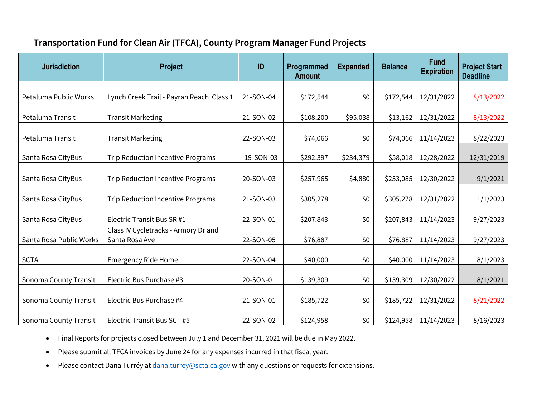Memorandum

**To** 

From

Subject

Date

## Transportation Development Act, Article 3 (TDA3) Projects

| <b>Jurisdiction</b> | Project                                                                           | ID         | Programmed<br>Amount | <b>Expended</b> | <b>Balance</b> | <b>Fund</b><br><b>Expiration</b> |
|---------------------|-----------------------------------------------------------------------------------|------------|----------------------|-----------------|----------------|----------------------------------|
| Cloverdale          | S. Cloverdale Blvd./Santana Pedestrian and Green Bike Lane<br><b>Improvements</b> | 20-0010-01 | \$110,862            | \$92,671        | \$18,191       | 6/30/2022                        |
|                     |                                                                                   |            |                      |                 |                |                                  |
| Healdsburg          | Front Street Sidewalk Gap Closure Project                                         | 22-0010-01 | \$30,000             | \$0             | \$30,000       | 6/30/2024                        |
| Petaluma            | Path Maintenance at Lynch Creek Trail and Prince Park Path                        | 20-0010-02 | \$131,210            | \$0             | \$131,210      | 6/30/2022                        |
|                     |                                                                                   |            |                      |                 |                |                                  |
| Petaluma            | Lynch Creek TraWaintenance                                                        | 21-0010-04 | \$62,995             | \$0             | \$62,995       | 6/30/2023                        |
| <b>Rohnert Park</b> | Trail to Crane Creek Regional Park                                                | 21-0010-02 | \$480,000            | \$0             | \$480,000      | 6/30/2023                        |
| <b>Santa Rosa</b>   | Santa Rosa Ave Bike and Pedestrian Enhancem Phase 1                               | 20-0010-81 | \$250,000            | \$145,938       | \$104,062      | 6/30/2022                        |
| Santa Rosa          | Santa Rosa Ave Bike and Pedestrian Enhancem Phase 2                               | 21-0010-03 | \$450,000            | \$0             | \$450,000      | 6/30/2023                        |
| Sebastopol          | ADA Curb Ramp upgrades SR 116                                                     | 20-0010-03 | \$32,383             | \$0             | \$0            | 6/30/2022                        |
| Sonoma County       | Copeland Creek TraiExtensiorPetaluma Hill Rd to Crane Cree                        |            |                      |                 |                |                                  |
| <b>RP</b>           | <b>RP</b>                                                                         | 21-0010-05 | \$200,000            | \$0             | \$200,000      | 6/30/2023                        |
| Windsor             | Crosswalk Enhancement on Starr Road and Stellar Lane                              | 22-0010-02 | \$110,000            | \$0             | \$110,000      | 6/30/2024                        |

 $\bullet$ 

Sponsors must submit invoices no later than August 31 for any funds expiring June 30.  $\bullet$ 

sctacago rcpacago